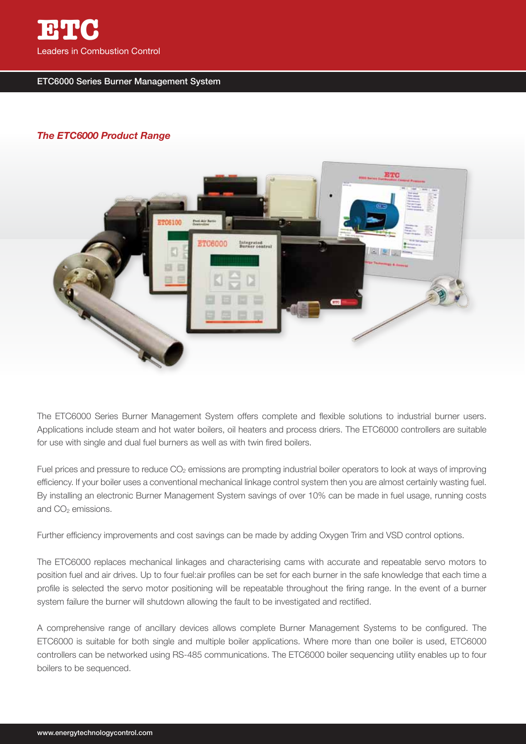

## ETC6000 Series Burner Management System

## *The ETC6000 Product Range*



The ETC6000 Series Burner Management System offers complete and flexible solutions to industrial burner users. Applications include steam and hot water boilers, oil heaters and process driers. The ETC6000 controllers are suitable for use with single and dual fuel burners as well as with twin fired boilers.

Fuel prices and pressure to reduce  $CO<sub>2</sub>$  emissions are prompting industrial boiler operators to look at ways of improving efficiency. If your boiler uses a conventional mechanical linkage control system then you are almost certainly wasting fuel. By installing an electronic Burner Management System savings of over 10% can be made in fuel usage, running costs and CO<sub>2</sub> emissions.

Further efficiency improvements and cost savings can be made by adding Oxygen Trim and VSD control options.

The ETC6000 replaces mechanical linkages and characterising cams with accurate and repeatable servo motors to position fuel and air drives. Up to four fuel:air profiles can be set for each burner in the safe knowledge that each time a profile is selected the servo motor positioning will be repeatable throughout the firing range. In the event of a burner system failure the burner will shutdown allowing the fault to be investigated and rectified.

A comprehensive range of ancillary devices allows complete Burner Management Systems to be configured. The ETC6000 is suitable for both single and multiple boiler applications. Where more than one boiler is used, ETC6000 controllers can be networked using RS-485 communications. The ETC6000 boiler sequencing utility enables up to four boilers to be sequenced.